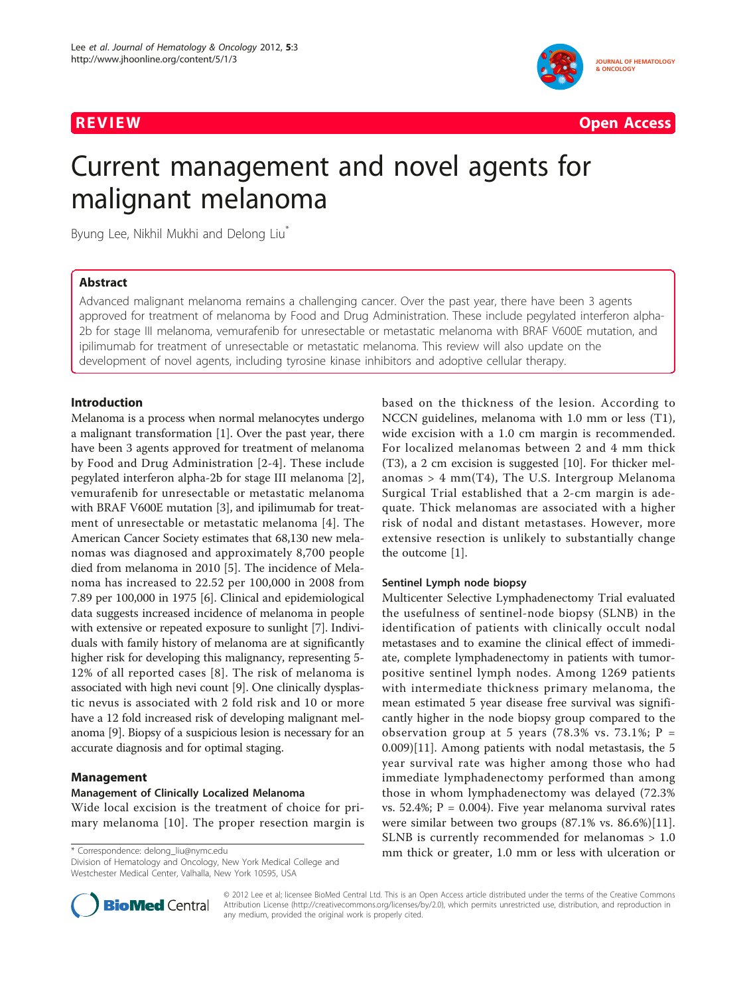



# Current management and novel agents for malignant melanoma

Byung Lee, Nikhil Mukhi and Delong Liu<sup>\*</sup>

# Abstract

Advanced malignant melanoma remains a challenging cancer. Over the past year, there have been 3 agents approved for treatment of melanoma by Food and Drug Administration. These include pegylated interferon alpha-2b for stage III melanoma, vemurafenib for unresectable or metastatic melanoma with BRAF V600E mutation, and ipilimumab for treatment of unresectable or metastatic melanoma. This review will also update on the development of novel agents, including tyrosine kinase inhibitors and adoptive cellular therapy.

# Introduction

Melanoma is a process when normal melanocytes undergo a malignant transformation [\[1](#page-6-0)]. Over the past year, there have been 3 agents approved for treatment of melanoma by Food and Drug Administration [\[2-4](#page-6-0)]. These include pegylated interferon alpha-2b for stage III melanoma [\[2](#page-6-0)], vemurafenib for unresectable or metastatic melanoma with BRAF V600E mutation [\[3](#page-6-0)], and ipilimumab for treatment of unresectable or metastatic melanoma [[4](#page-6-0)]. The American Cancer Society estimates that 68,130 new melanomas was diagnosed and approximately 8,700 people died from melanoma in 2010 [[5\]](#page-6-0). The incidence of Melanoma has increased to 22.52 per 100,000 in 2008 from 7.89 per 100,000 in 1975 [[6\]](#page-6-0). Clinical and epidemiological data suggests increased incidence of melanoma in people with extensive or repeated exposure to sunlight [\[7](#page-6-0)]. Individuals with family history of melanoma are at significantly higher risk for developing this malignancy, representing 5- 12% of all reported cases [[8](#page-6-0)]. The risk of melanoma is associated with high nevi count [\[9\]](#page-6-0). One clinically dysplastic nevus is associated with 2 fold risk and 10 or more have a 12 fold increased risk of developing malignant melanoma [\[9](#page-6-0)]. Biopsy of a suspicious lesion is necessary for an accurate diagnosis and for optimal staging.

# Management

#### Management of Clinically Localized Melanoma

Wide local excision is the treatment of choice for primary melanoma [[10](#page-6-0)]. The proper resection margin is

Division of Hematology and Oncology, New York Medical College and Westchester Medical Center, Valhalla, New York 10595, USA



#### Sentinel Lymph node biopsy

Multicenter Selective Lymphadenectomy Trial evaluated the usefulness of sentinel-node biopsy (SLNB) in the identification of patients with clinically occult nodal metastases and to examine the clinical effect of immediate, complete lymphadenectomy in patients with tumorpositive sentinel lymph nodes. Among 1269 patients with intermediate thickness primary melanoma, the mean estimated 5 year disease free survival was significantly higher in the node biopsy group compared to the observation group at 5 years (78.3% vs. 73.1%;  $P =$ 0.009)[\[11](#page-6-0)]. Among patients with nodal metastasis, the 5 year survival rate was higher among those who had immediate lymphadenectomy performed than among those in whom lymphadenectomy was delayed (72.3% vs. 52.4%;  $P = 0.004$ ). Five year melanoma survival rates were similar between two groups (87.1% vs. 86.6%)[\[11](#page-6-0)]. SLNB is currently recommended for melanomas > 1.0 \* Correspondence: [delong\\_liu@nymc.edu](mailto:delong_liu@nymc.edu)<br>
mm thick or greater, 1.0 mm or less with ulceration or



© 2012 Lee et al; licensee BioMed Central Ltd. This is an Open Access article distributed under the terms of the Creative Commons Attribution License [\(http://creativecommons.org/licenses/by/2.0](http://creativecommons.org/licenses/by/2.0)), which permits unrestricted use, distribution, and reproduction in any medium, provided the original work is properly cited.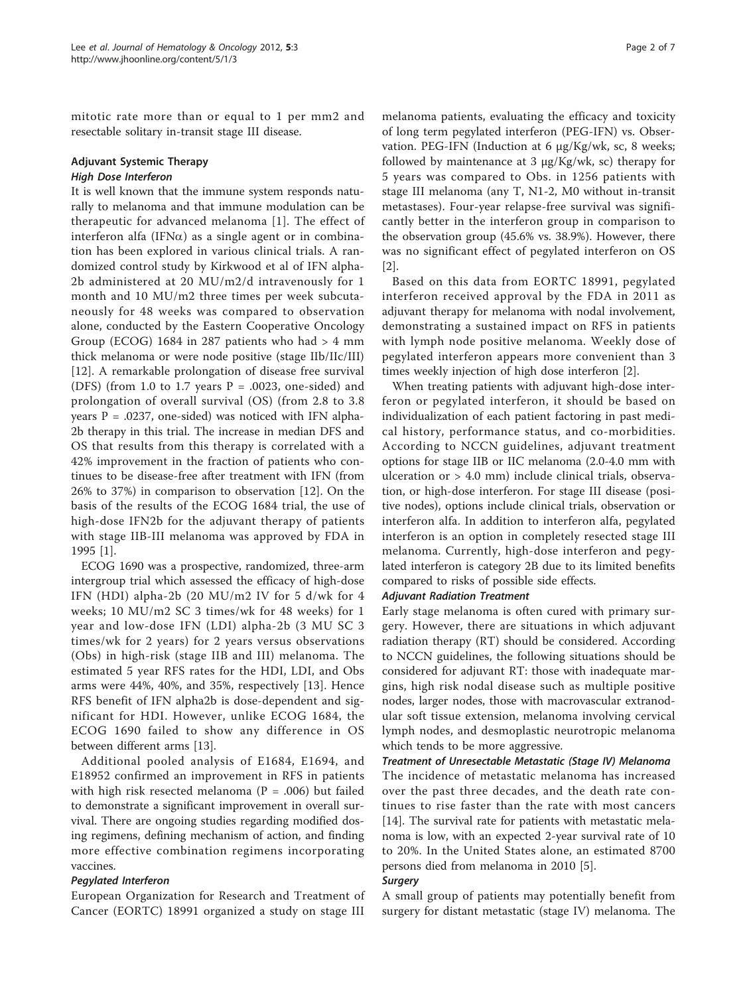mitotic rate more than or equal to 1 per mm2 and resectable solitary in-transit stage III disease.

#### Adjuvant Systemic Therapy High Dose Interferon

It is well known that the immune system responds naturally to melanoma and that immune modulation can be therapeutic for advanced melanoma [[1](#page-6-0)]. The effect of interferon alfa (IFN $\alpha$ ) as a single agent or in combination has been explored in various clinical trials. A randomized control study by Kirkwood et al of IFN alpha-2b administered at 20 MU/m2/d intravenously for 1 month and 10 MU/m2 three times per week subcutaneously for 48 weeks was compared to observation alone, conducted by the Eastern Cooperative Oncology Group (ECOG) 1684 in 287 patients who had  $> 4$  mm thick melanoma or were node positive (stage IIb/IIc/III) [[12\]](#page-6-0). A remarkable prolongation of disease free survival (DFS) (from 1.0 to 1.7 years  $P = .0023$ , one-sided) and prolongation of overall survival (OS) (from 2.8 to 3.8 years  $P = .0237$ , one-sided) was noticed with IFN alpha-2b therapy in this trial. The increase in median DFS and OS that results from this therapy is correlated with a 42% improvement in the fraction of patients who continues to be disease-free after treatment with IFN (from 26% to 37%) in comparison to observation [\[12](#page-6-0)]. On the basis of the results of the ECOG 1684 trial, the use of high-dose IFN2b for the adjuvant therapy of patients with stage IIB-III melanoma was approved by FDA in 1995 [[1](#page-6-0)].

ECOG 1690 was a prospective, randomized, three-arm intergroup trial which assessed the efficacy of high-dose IFN (HDI) alpha-2b (20 MU/m2 IV for 5 d/wk for 4 weeks; 10 MU/m2 SC 3 times/wk for 48 weeks) for 1 year and low-dose IFN (LDI) alpha-2b (3 MU SC 3 times/wk for 2 years) for 2 years versus observations (Obs) in high-risk (stage IIB and III) melanoma. The estimated 5 year RFS rates for the HDI, LDI, and Obs arms were 44%, 40%, and 35%, respectively [\[13](#page-6-0)]. Hence RFS benefit of IFN alpha2b is dose-dependent and significant for HDI. However, unlike ECOG 1684, the ECOG 1690 failed to show any difference in OS between different arms [\[13](#page-6-0)].

Additional pooled analysis of E1684, E1694, and E18952 confirmed an improvement in RFS in patients with high risk resected melanoma ( $P = .006$ ) but failed to demonstrate a significant improvement in overall survival. There are ongoing studies regarding modified dosing regimens, defining mechanism of action, and finding more effective combination regimens incorporating vaccines.

# Pegylated Interferon

European Organization for Research and Treatment of Cancer (EORTC) 18991 organized a study on stage III

melanoma patients, evaluating the efficacy and toxicity of long term pegylated interferon (PEG-IFN) vs. Observation. PEG-IFN (Induction at 6 μg/Kg/wk, sc, 8 weeks; followed by maintenance at 3 μg/Kg/wk, sc) therapy for 5 years was compared to Obs. in 1256 patients with stage III melanoma (any T, N1-2, M0 without in-transit metastases). Four-year relapse-free survival was significantly better in the interferon group in comparison to the observation group (45.6% vs. 38.9%). However, there was no significant effect of pegylated interferon on OS [[2\]](#page-6-0).

Based on this data from EORTC 18991, pegylated interferon received approval by the FDA in 2011 as adjuvant therapy for melanoma with nodal involvement, demonstrating a sustained impact on RFS in patients with lymph node positive melanoma. Weekly dose of pegylated interferon appears more convenient than 3 times weekly injection of high dose interferon [[2\]](#page-6-0).

When treating patients with adjuvant high-dose interferon or pegylated interferon, it should be based on individualization of each patient factoring in past medical history, performance status, and co-morbidities. According to NCCN guidelines, adjuvant treatment options for stage IIB or IIC melanoma (2.0-4.0 mm with ulceration or > 4.0 mm) include clinical trials, observation, or high-dose interferon. For stage III disease (positive nodes), options include clinical trials, observation or interferon alfa. In addition to interferon alfa, pegylated interferon is an option in completely resected stage III melanoma. Currently, high-dose interferon and pegylated interferon is category 2B due to its limited benefits compared to risks of possible side effects.

#### Adjuvant Radiation Treatment

Early stage melanoma is often cured with primary surgery. However, there are situations in which adjuvant radiation therapy (RT) should be considered. According to NCCN guidelines, the following situations should be considered for adjuvant RT: those with inadequate margins, high risk nodal disease such as multiple positive nodes, larger nodes, those with macrovascular extranodular soft tissue extension, melanoma involving cervical lymph nodes, and desmoplastic neurotropic melanoma which tends to be more aggressive.

#### Treatment of Unresectable Metastatic (Stage IV) Melanoma

The incidence of metastatic melanoma has increased over the past three decades, and the death rate continues to rise faster than the rate with most cancers [[14\]](#page-6-0). The survival rate for patients with metastatic melanoma is low, with an expected 2-year survival rate of 10 to 20%. In the United States alone, an estimated 8700 persons died from melanoma in 2010 [[5](#page-6-0)].

#### **Surgery**

A small group of patients may potentially benefit from surgery for distant metastatic (stage IV) melanoma. The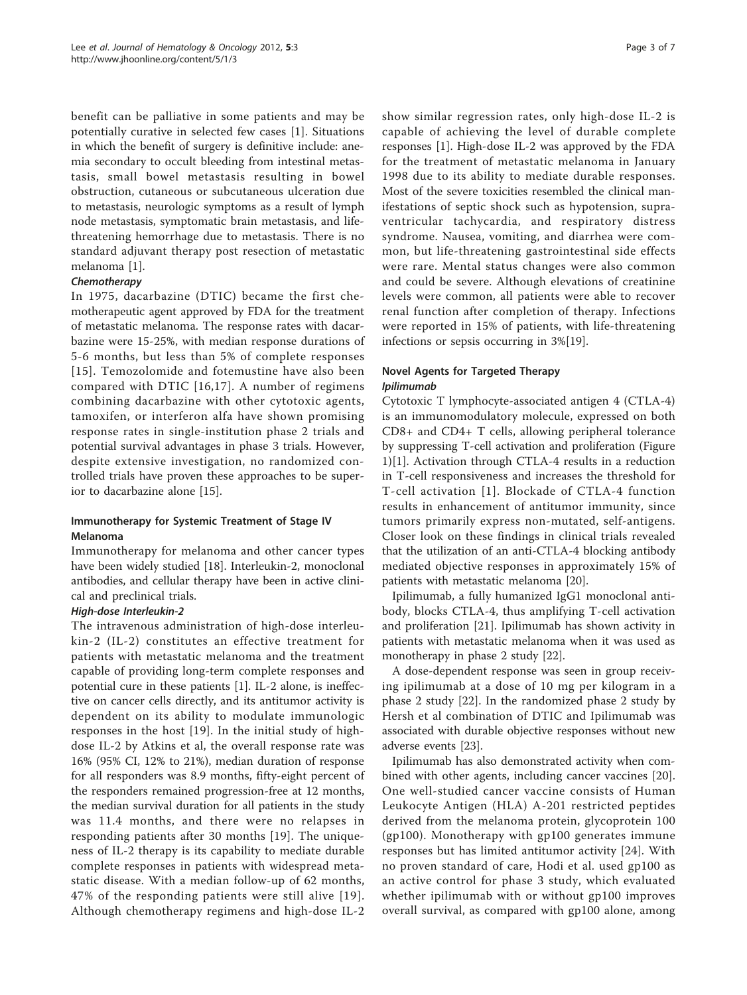benefit can be palliative in some patients and may be potentially curative in selected few cases [[1](#page-6-0)]. Situations in which the benefit of surgery is definitive include: anemia secondary to occult bleeding from intestinal metastasis, small bowel metastasis resulting in bowel obstruction, cutaneous or subcutaneous ulceration due to metastasis, neurologic symptoms as a result of lymph node metastasis, symptomatic brain metastasis, and lifethreatening hemorrhage due to metastasis. There is no standard adjuvant therapy post resection of metastatic melanoma [[1](#page-6-0)].

# **Chemotherapy**

In 1975, dacarbazine (DTIC) became the first chemotherapeutic agent approved by FDA for the treatment of metastatic melanoma. The response rates with dacarbazine were 15-25%, with median response durations of 5-6 months, but less than 5% of complete responses [[15\]](#page-6-0). Temozolomide and fotemustine have also been compared with DTIC [[16](#page-6-0),[17](#page-6-0)]. A number of regimens combining dacarbazine with other cytotoxic agents, tamoxifen, or interferon alfa have shown promising response rates in single-institution phase 2 trials and potential survival advantages in phase 3 trials. However, despite extensive investigation, no randomized controlled trials have proven these approaches to be superior to dacarbazine alone [\[15\]](#page-6-0).

# Immunotherapy for Systemic Treatment of Stage IV Melanoma

Immunotherapy for melanoma and other cancer types have been widely studied [[18](#page-6-0)]. Interleukin-2, monoclonal antibodies, and cellular therapy have been in active clinical and preclinical trials.

#### High-dose Interleukin-2

The intravenous administration of high-dose interleukin-2 (IL-2) constitutes an effective treatment for patients with metastatic melanoma and the treatment capable of providing long-term complete responses and potential cure in these patients [[1\]](#page-6-0). IL-2 alone, is ineffective on cancer cells directly, and its antitumor activity is dependent on its ability to modulate immunologic responses in the host [\[19\]](#page-6-0). In the initial study of highdose IL-2 by Atkins et al, the overall response rate was 16% (95% CI, 12% to 21%), median duration of response for all responders was 8.9 months, fifty-eight percent of the responders remained progression-free at 12 months, the median survival duration for all patients in the study was 11.4 months, and there were no relapses in responding patients after 30 months [[19\]](#page-6-0). The uniqueness of IL-2 therapy is its capability to mediate durable complete responses in patients with widespread metastatic disease. With a median follow-up of 62 months, 47% of the responding patients were still alive [[19\]](#page-6-0). Although chemotherapy regimens and high-dose IL-2

show similar regression rates, only high-dose IL-2 is capable of achieving the level of durable complete responses [[1\]](#page-6-0). High-dose IL-2 was approved by the FDA for the treatment of metastatic melanoma in January 1998 due to its ability to mediate durable responses. Most of the severe toxicities resembled the clinical manifestations of septic shock such as hypotension, supraventricular tachycardia, and respiratory distress syndrome. Nausea, vomiting, and diarrhea were common, but life-threatening gastrointestinal side effects were rare. Mental status changes were also common and could be severe. Although elevations of creatinine levels were common, all patients were able to recover renal function after completion of therapy. Infections were reported in 15% of patients, with life-threatening infections or sepsis occurring in 3%[\[19](#page-6-0)].

# Novel Agents for Targeted Therapy Ipilimumab

Cytotoxic T lymphocyte-associated antigen 4 (CTLA-4) is an immunomodulatory molecule, expressed on both CD8+ and CD4+ T cells, allowing peripheral tolerance by suppressing T-cell activation and proliferation (Figure [1\)](#page-3-0)[\[1](#page-6-0)]. Activation through CTLA-4 results in a reduction in T-cell responsiveness and increases the threshold for T-cell activation [[1\]](#page-6-0). Blockade of CTLA-4 function results in enhancement of antitumor immunity, since tumors primarily express non-mutated, self-antigens. Closer look on these findings in clinical trials revealed that the utilization of an anti-CTLA-4 blocking antibody mediated objective responses in approximately 15% of patients with metastatic melanoma [\[20](#page-6-0)].

Ipilimumab, a fully humanized IgG1 monoclonal antibody, blocks CTLA-4, thus amplifying T-cell activation and proliferation [[21\]](#page-6-0). Ipilimumab has shown activity in patients with metastatic melanoma when it was used as monotherapy in phase 2 study [[22\]](#page-6-0).

A dose-dependent response was seen in group receiving ipilimumab at a dose of 10 mg per kilogram in a phase 2 study [[22\]](#page-6-0). In the randomized phase 2 study by Hersh et al combination of DTIC and Ipilimumab was associated with durable objective responses without new adverse events [\[23\]](#page-6-0).

Ipilimumab has also demonstrated activity when combined with other agents, including cancer vaccines [\[20](#page-6-0)]. One well-studied cancer vaccine consists of Human Leukocyte Antigen (HLA) A-201 restricted peptides derived from the melanoma protein, glycoprotein 100 (gp100). Monotherapy with gp100 generates immune responses but has limited antitumor activity [\[24](#page-6-0)]. With no proven standard of care, Hodi et al. used gp100 as an active control for phase 3 study, which evaluated whether ipilimumab with or without gp100 improves overall survival, as compared with gp100 alone, among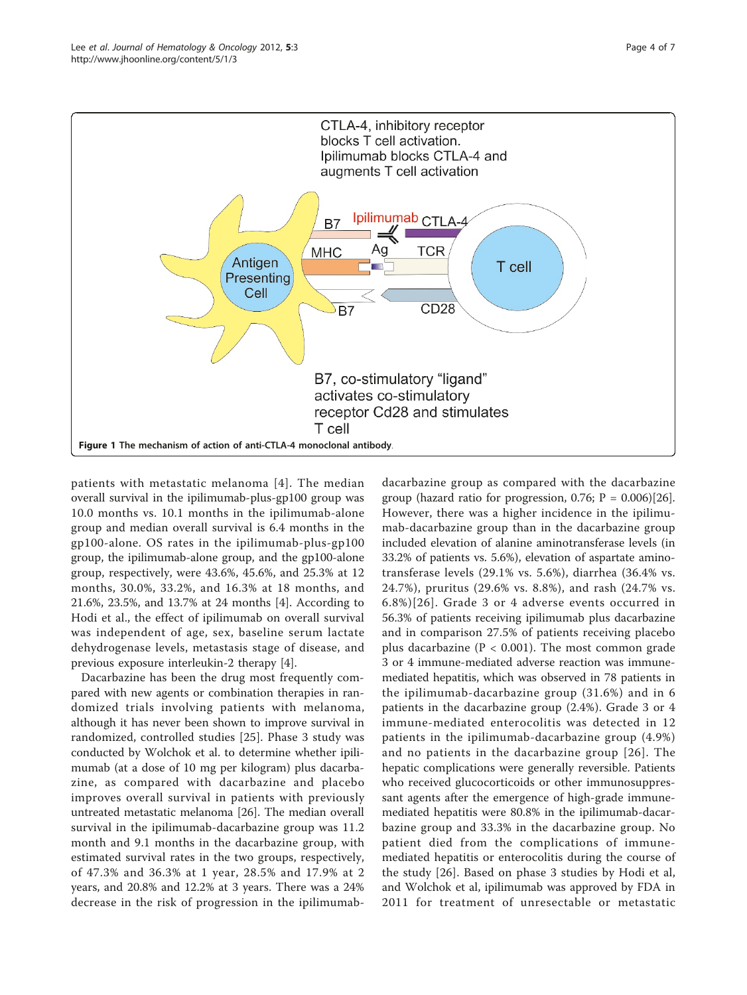<span id="page-3-0"></span>

patients with metastatic melanoma [[4](#page-6-0)]. The median overall survival in the ipilimumab-plus-gp100 group was 10.0 months vs. 10.1 months in the ipilimumab-alone group and median overall survival is 6.4 months in the gp100-alone. OS rates in the ipilimumab-plus-gp100 group, the ipilimumab-alone group, and the gp100-alone group, respectively, were 43.6%, 45.6%, and 25.3% at 12 months, 30.0%, 33.2%, and 16.3% at 18 months, and 21.6%, 23.5%, and 13.7% at 24 months [[4\]](#page-6-0). According to Hodi et al., the effect of ipilimumab on overall survival was independent of age, sex, baseline serum lactate dehydrogenase levels, metastasis stage of disease, and previous exposure interleukin-2 therapy [[4\]](#page-6-0).

Dacarbazine has been the drug most frequently compared with new agents or combination therapies in randomized trials involving patients with melanoma, although it has never been shown to improve survival in randomized, controlled studies [\[25](#page-6-0)]. Phase 3 study was conducted by Wolchok et al. to determine whether ipilimumab (at a dose of 10 mg per kilogram) plus dacarbazine, as compared with dacarbazine and placebo improves overall survival in patients with previously untreated metastatic melanoma [\[26](#page-6-0)]. The median overall survival in the ipilimumab-dacarbazine group was 11.2 month and 9.1 months in the dacarbazine group, with estimated survival rates in the two groups, respectively, of 47.3% and 36.3% at 1 year, 28.5% and 17.9% at 2 years, and 20.8% and 12.2% at 3 years. There was a 24% decrease in the risk of progression in the ipilimumab-

dacarbazine group as compared with the dacarbazine group (hazard ratio for progression,  $0.76$ ;  $P = 0.006$ )[[26](#page-6-0)]. However, there was a higher incidence in the ipilimumab-dacarbazine group than in the dacarbazine group included elevation of alanine aminotransferase levels (in 33.2% of patients vs. 5.6%), elevation of aspartate aminotransferase levels (29.1% vs. 5.6%), diarrhea (36.4% vs. 24.7%), pruritus (29.6% vs. 8.8%), and rash (24.7% vs. 6.8%)[[26](#page-6-0)]. Grade 3 or 4 adverse events occurred in 56.3% of patients receiving ipilimumab plus dacarbazine and in comparison 27.5% of patients receiving placebo plus dacarbazine ( $P < 0.001$ ). The most common grade 3 or 4 immune-mediated adverse reaction was immunemediated hepatitis, which was observed in 78 patients in the ipilimumab-dacarbazine group (31.6%) and in 6 patients in the dacarbazine group (2.4%). Grade 3 or 4 immune-mediated enterocolitis was detected in 12 patients in the ipilimumab-dacarbazine group (4.9%) and no patients in the dacarbazine group [[26](#page-6-0)]. The hepatic complications were generally reversible. Patients who received glucocorticoids or other immunosuppressant agents after the emergence of high-grade immunemediated hepatitis were 80.8% in the ipilimumab-dacarbazine group and 33.3% in the dacarbazine group. No patient died from the complications of immunemediated hepatitis or enterocolitis during the course of the study [[26\]](#page-6-0). Based on phase 3 studies by Hodi et al, and Wolchok et al, ipilimumab was approved by FDA in 2011 for treatment of unresectable or metastatic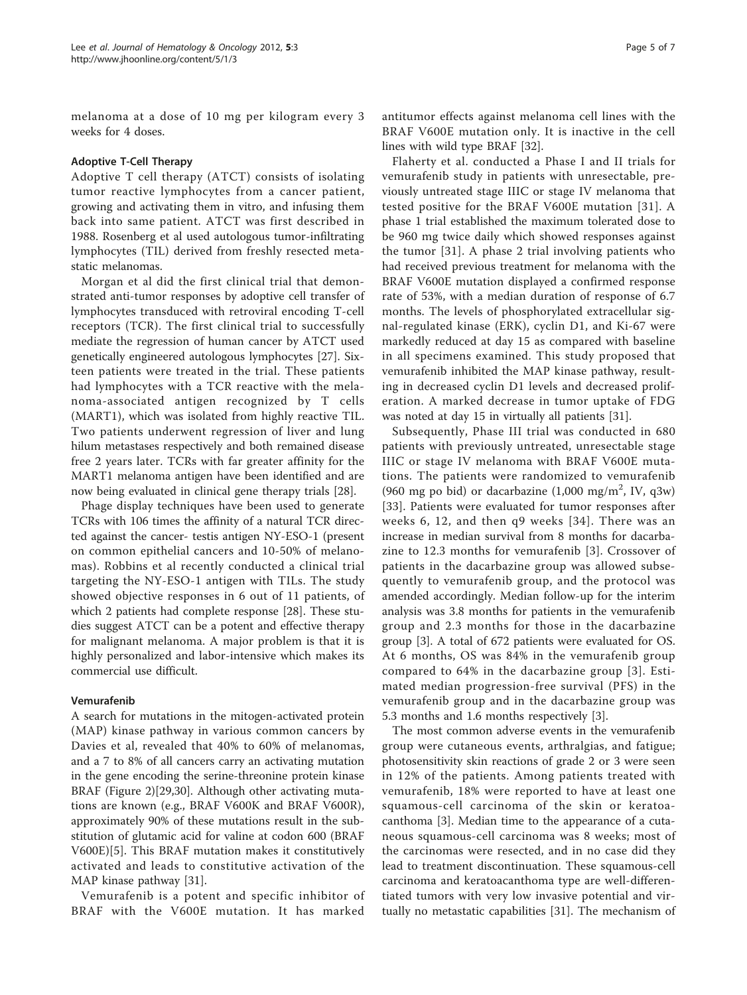melanoma at a dose of 10 mg per kilogram every 3 weeks for 4 doses.

#### Adoptive T-Cell Therapy

Adoptive T cell therapy (ATCT) consists of isolating tumor reactive lymphocytes from a cancer patient, growing and activating them in vitro, and infusing them back into same patient. ATCT was first described in 1988. Rosenberg et al used autologous tumor-infiltrating lymphocytes (TIL) derived from freshly resected metastatic melanomas.

Morgan et al did the first clinical trial that demonstrated anti-tumor responses by adoptive cell transfer of lymphocytes transduced with retroviral encoding T-cell receptors (TCR). The first clinical trial to successfully mediate the regression of human cancer by ATCT used genetically engineered autologous lymphocytes [\[27\]](#page-6-0). Sixteen patients were treated in the trial. These patients had lymphocytes with a TCR reactive with the melanoma-associated antigen recognized by T cells (MART1), which was isolated from highly reactive TIL. Two patients underwent regression of liver and lung hilum metastases respectively and both remained disease free 2 years later. TCRs with far greater affinity for the MART1 melanoma antigen have been identified and are now being evaluated in clinical gene therapy trials [\[28\]](#page-6-0).

Phage display techniques have been used to generate TCRs with 106 times the affinity of a natural TCR directed against the cancer- testis antigen NY-ESO-1 (present on common epithelial cancers and 10-50% of melanomas). Robbins et al recently conducted a clinical trial targeting the NY-ESO-1 antigen with TILs. The study showed objective responses in 6 out of 11 patients, of which 2 patients had complete response [[28\]](#page-6-0). These studies suggest ATCT can be a potent and effective therapy for malignant melanoma. A major problem is that it is highly personalized and labor-intensive which makes its commercial use difficult.

#### Vemurafenib

A search for mutations in the mitogen-activated protein (MAP) kinase pathway in various common cancers by Davies et al, revealed that 40% to 60% of melanomas, and a 7 to 8% of all cancers carry an activating mutation in the gene encoding the serine-threonine protein kinase BRAF (Figure [2\)](#page-5-0)[\[29,30\]](#page-6-0). Although other activating mutations are known (e.g., BRAF V600K and BRAF V600R), approximately 90% of these mutations result in the substitution of glutamic acid for valine at codon 600 (BRAF V600E)[[5\]](#page-6-0). This BRAF mutation makes it constitutively activated and leads to constitutive activation of the MAP kinase pathway [[31\]](#page-6-0).

Vemurafenib is a potent and specific inhibitor of BRAF with the V600E mutation. It has marked antitumor effects against melanoma cell lines with the BRAF V600E mutation only. It is inactive in the cell lines with wild type BRAF [[32](#page-6-0)].

Flaherty et al. conducted a Phase I and II trials for vemurafenib study in patients with unresectable, previously untreated stage IIIC or stage IV melanoma that tested positive for the BRAF V600E mutation [[31](#page-6-0)]. A phase 1 trial established the maximum tolerated dose to be 960 mg twice daily which showed responses against the tumor [[31\]](#page-6-0). A phase 2 trial involving patients who had received previous treatment for melanoma with the BRAF V600E mutation displayed a confirmed response rate of 53%, with a median duration of response of 6.7 months. The levels of phosphorylated extracellular signal-regulated kinase (ERK), cyclin D1, and Ki-67 were markedly reduced at day 15 as compared with baseline in all specimens examined. This study proposed that vemurafenib inhibited the MAP kinase pathway, resulting in decreased cyclin D1 levels and decreased proliferation. A marked decrease in tumor uptake of FDG was noted at day 15 in virtually all patients [[31\]](#page-6-0).

Subsequently, Phase III trial was conducted in 680 patients with previously untreated, unresectable stage IIIC or stage IV melanoma with BRAF V600E mutations. The patients were randomized to vemurafenib (960 mg po bid) or dacarbazine  $(1,000 \text{ mg/m}^2, \text{ IV}, \text{ q3w})$ [[33](#page-6-0)]. Patients were evaluated for tumor responses after weeks 6, 12, and then q9 weeks [[34\]](#page-6-0). There was an increase in median survival from 8 months for dacarbazine to 12.3 months for vemurafenib [[3](#page-6-0)]. Crossover of patients in the dacarbazine group was allowed subsequently to vemurafenib group, and the protocol was amended accordingly. Median follow-up for the interim analysis was 3.8 months for patients in the vemurafenib group and 2.3 months for those in the dacarbazine group [\[3\]](#page-6-0). A total of 672 patients were evaluated for OS. At 6 months, OS was 84% in the vemurafenib group compared to 64% in the dacarbazine group [[3](#page-6-0)]. Estimated median progression-free survival (PFS) in the vemurafenib group and in the dacarbazine group was 5.3 months and 1.6 months respectively [[3\]](#page-6-0).

The most common adverse events in the vemurafenib group were cutaneous events, arthralgias, and fatigue; photosensitivity skin reactions of grade 2 or 3 were seen in 12% of the patients. Among patients treated with vemurafenib, 18% were reported to have at least one squamous-cell carcinoma of the skin or keratoacanthoma [[3\]](#page-6-0). Median time to the appearance of a cutaneous squamous-cell carcinoma was 8 weeks; most of the carcinomas were resected, and in no case did they lead to treatment discontinuation. These squamous-cell carcinoma and keratoacanthoma type are well-differentiated tumors with very low invasive potential and virtually no metastatic capabilities [[31\]](#page-6-0). The mechanism of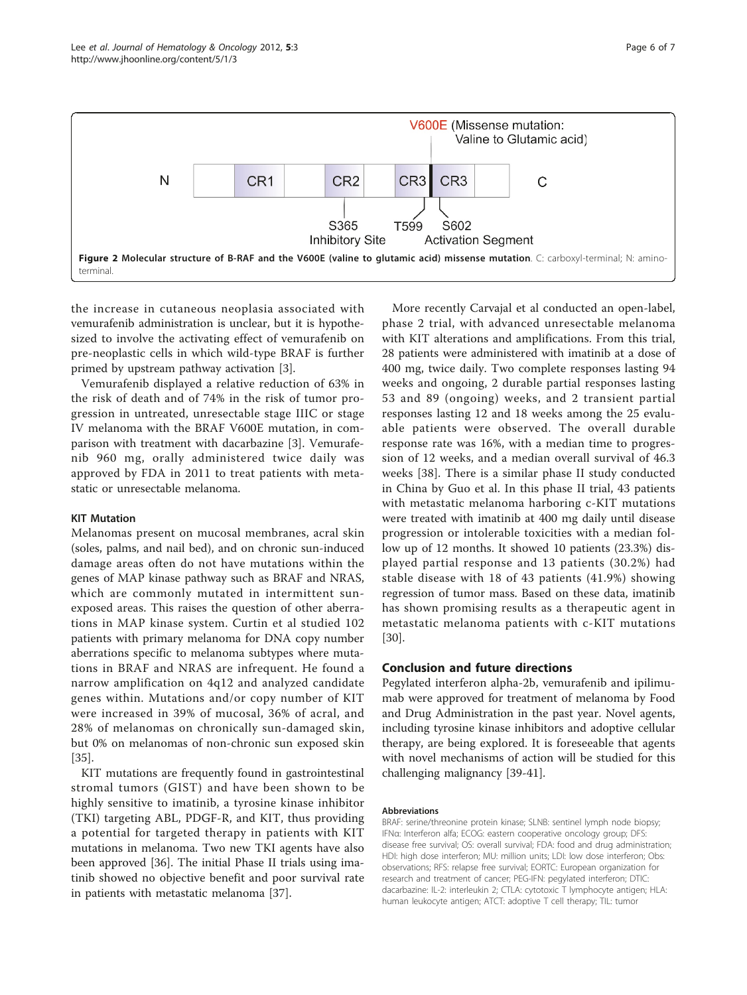<span id="page-5-0"></span>

the increase in cutaneous neoplasia associated with vemurafenib administration is unclear, but it is hypothesized to involve the activating effect of vemurafenib on pre-neoplastic cells in which wild-type BRAF is further primed by upstream pathway activation [[3](#page-6-0)].

Vemurafenib displayed a relative reduction of 63% in the risk of death and of 74% in the risk of tumor progression in untreated, unresectable stage IIIC or stage IV melanoma with the BRAF V600E mutation, in comparison with treatment with dacarbazine [[3\]](#page-6-0). Vemurafenib 960 mg, orally administered twice daily was approved by FDA in 2011 to treat patients with metastatic or unresectable melanoma.

# KIT Mutation

Melanomas present on mucosal membranes, acral skin (soles, palms, and nail bed), and on chronic sun-induced damage areas often do not have mutations within the genes of MAP kinase pathway such as BRAF and NRAS, which are commonly mutated in intermittent sunexposed areas. This raises the question of other aberrations in MAP kinase system. Curtin et al studied 102 patients with primary melanoma for DNA copy number aberrations specific to melanoma subtypes where mutations in BRAF and NRAS are infrequent. He found a narrow amplification on 4q12 and analyzed candidate genes within. Mutations and/or copy number of KIT were increased in 39% of mucosal, 36% of acral, and 28% of melanomas on chronically sun-damaged skin, but 0% on melanomas of non-chronic sun exposed skin [[35\]](#page-6-0).

KIT mutations are frequently found in gastrointestinal stromal tumors (GIST) and have been shown to be highly sensitive to imatinib, a tyrosine kinase inhibitor (TKI) targeting ABL, PDGF-R, and KIT, thus providing a potential for targeted therapy in patients with KIT mutations in melanoma. Two new TKI agents have also been approved [\[36\]](#page-6-0). The initial Phase II trials using imatinib showed no objective benefit and poor survival rate in patients with metastatic melanoma [[37](#page-6-0)].

More recently Carvajal et al conducted an open-label, phase 2 trial, with advanced unresectable melanoma with KIT alterations and amplifications. From this trial, 28 patients were administered with imatinib at a dose of 400 mg, twice daily. Two complete responses lasting 94 weeks and ongoing, 2 durable partial responses lasting 53 and 89 (ongoing) weeks, and 2 transient partial responses lasting 12 and 18 weeks among the 25 evaluable patients were observed. The overall durable response rate was 16%, with a median time to progression of 12 weeks, and a median overall survival of 46.3 weeks [[38](#page-6-0)]. There is a similar phase II study conducted in China by Guo et al. In this phase II trial, 43 patients with metastatic melanoma harboring c-KIT mutations were treated with imatinib at 400 mg daily until disease progression or intolerable toxicities with a median follow up of 12 months. It showed 10 patients (23.3%) displayed partial response and 13 patients (30.2%) had stable disease with 18 of 43 patients (41.9%) showing regression of tumor mass. Based on these data, imatinib has shown promising results as a therapeutic agent in metastatic melanoma patients with c-KIT mutations [[30\]](#page-6-0).

#### Conclusion and future directions

Pegylated interferon alpha-2b, vemurafenib and ipilimumab were approved for treatment of melanoma by Food and Drug Administration in the past year. Novel agents, including tyrosine kinase inhibitors and adoptive cellular therapy, are being explored. It is foreseeable that agents with novel mechanisms of action will be studied for this challenging malignancy [[39-41\]](#page-6-0).

#### Abbreviations

BRAF: serine/threonine protein kinase; SLNB: sentinel lymph node biopsy; IFNα: Interferon alfa; ECOG: eastern cooperative oncology group; DFS: disease free survival; OS: overall survival; FDA: food and drug administration; HDI: high dose interferon; MU: million units; LDI: low dose interferon; Obs: observations; RFS: relapse free survival; EORTC: European organization for research and treatment of cancer; PEG-IFN: pegylated interferon; DTIC: dacarbazine: IL-2: interleukin 2; CTLA: cytotoxic T lymphocyte antigen; HLA: human leukocyte antigen; ATCT: adoptive T cell therapy; TIL: tumor